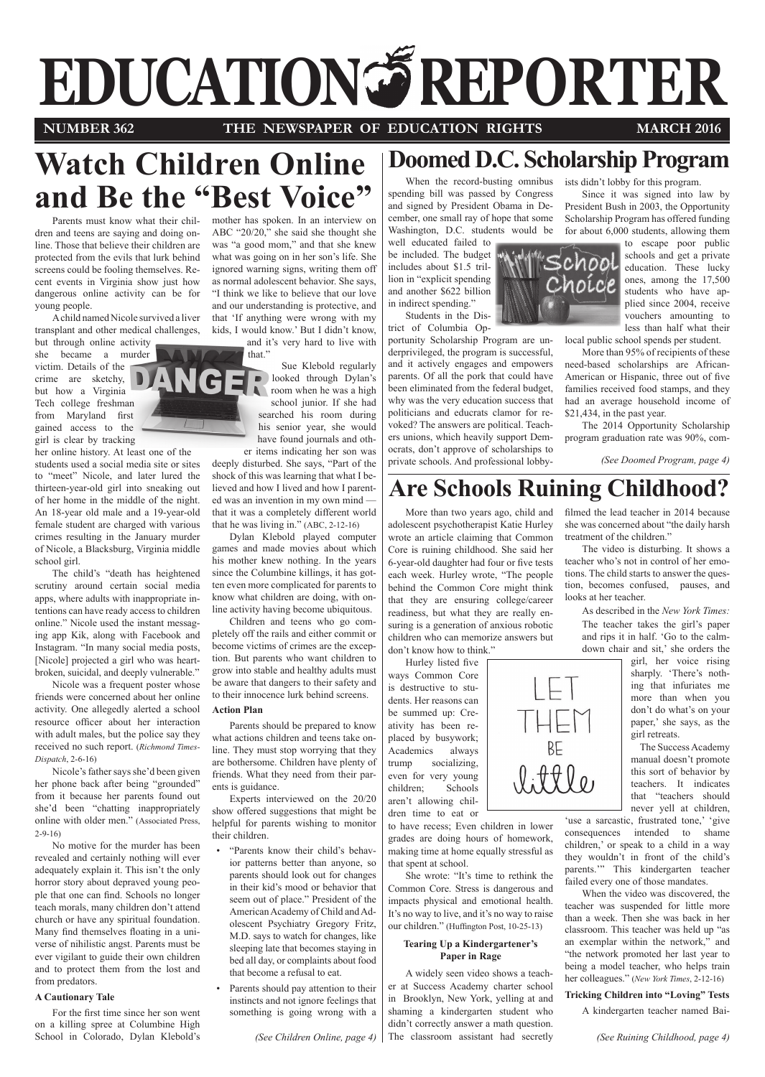# **EDUCATION REPORTER**

## **NUMBER 362 THE NEWSPAPER OF EDUCATION RIGHTS MARCH 2016**

## **Watch Children Online and Be the "Best Voice"**

NG

Parents must know what their children and teens are saying and doing online. Those that believe their children are protected from the evils that lurk behind screens could be fooling themselves. Recent events in Virginia show just how dangerous online activity can be for young people.

A child named Nicole survived a liver transplant and other medical challenges,

but through online activity she became a murder victim. Details of the crime are sketchy, but how a Virginia Tech college freshman from Maryland first gained access to the girl is clear by tracking

her online history. At least one of the

students used a social media site or sites to "meet" Nicole, and later lured the thirteen-year-old girl into sneaking out of her home in the middle of the night. An 18-year old male and a 19-year-old female student are charged with various crimes resulting in the January murder of Nicole, a Blacksburg, Virginia middle school girl.

The child's "death has heightened scrutiny around certain social media apps, where adults with inappropriate intentions can have ready access to children online." Nicole used the instant messaging app Kik, along with Facebook and Instagram. "In many social media posts, [Nicole] projected a girl who was heartbroken, suicidal, and deeply vulnerable."

Nicole was a frequent poster whose friends were concerned about her online activity. One allegedly alerted a school resource officer about her interaction with adult males, but the police say they received no such report. (*Richmond Times-Dispatch*, 2-6-16)

Nicole's father says she'd been given her phone back after being "grounded" from it because her parents found out she'd been "chatting inappropriately online with older men." (Associated Press, 2-9-16)

No motive for the murder has been revealed and certainly nothing will ever adequately explain it. This isn't the only horror story about depraved young people that one can find. Schools no longer teach morals, many children don't attend church or have any spiritual foundation. Many find themselves floating in a universe of nihilistic angst. Parents must be ever vigilant to guide their own children and to protect them from the lost and from predators.

## **A Cautionary Tale**

For the first time since her son went on a killing spree at Columbine High School in Colorado, Dylan Klebold's mother has spoken. In an interview on ABC "20/20," she said she thought she was "a good mom," and that she knew what was going on in her son's life. She ignored warning signs, writing them off as normal adolescent behavior. She says, "I think we like to believe that our love and our understanding is protective, and that 'If anything were wrong with my kids, I would know.' But I didn't know, and it's very hard to live with

> that." Sue Klebold regularly looked through Dylan's room when he was a high school junior. If she had searched his room during his senior year, she would have found journals and other items indicating her son was

deeply disturbed. She says, "Part of the shock of this was learning that what I believed and how I lived and how I parented was an invention in my own mind that it was a completely different world that he was living in." (ABC, 2-12-16)

Dylan Klebold played computer games and made movies about which his mother knew nothing. In the years since the Columbine killings, it has gotten even more complicated for parents to know what children are doing, with online activity having become ubiquitous.

Children and teens who go completely off the rails and either commit or become victims of crimes are the exception. But parents who want children to grow into stable and healthy adults must be aware that dangers to their safety and to their innocence lurk behind screens.

## **Action Plan**

Parents should be prepared to know what actions children and teens take online. They must stop worrying that they are bothersome. Children have plenty of friends. What they need from their parents is guidance.

Experts interviewed on the 20/20 show offered suggestions that might be helpful for parents wishing to monitor their children.

- "Parents know their child's behavior patterns better than anyone, so parents should look out for changes in their kid's mood or behavior that seem out of place." President of the American Academy of Child and Adolescent Psychiatry Gregory Fritz, M.D. says to watch for changes, like sleeping late that becomes staying in bed all day, or complaints about food that become a refusal to eat.
- Parents should pay attention to their instincts and not ignore feelings that something is going wrong with a

*(See Children Online, page 4)*

## **Doomed D.C. Scholarship Program**

When the record-busting omnibus spending bill was passed by Congress and signed by President Obama in December, one small ray of hope that some Washington, D.C. students would be well educated failed to

be included. The budget includes about \$1.5 trillion in "explicit spending and another \$622 billion in indirect spending."

Students in the District of Columbia Op-

portunity Scholarship Program are underprivileged, the program is successful, and it actively engages and empowers parents. Of all the pork that could have been eliminated from the federal budget, why was the very education success that politicians and educrats clamor for revoked? The answers are political. Teachers unions, which heavily support Democrats, don't approve of scholarships to private schools. And professional lobbyists didn't lobby for this program.

Since it was signed into law by President Bush in 2003, the Opportunity Scholarship Program has offered funding for about 6,000 students, allowing them

Choíce

to escape poor public schools and get a private education. These lucky ones, among the 17,500 students who have applied since 2004, receive vouchers amounting to less than half what their local public school spends per student.

More than 95% of recipients of these need-based scholarships are African-American or Hispanic, three out of five families received food stamps, and they had an average household income of \$21,434, in the past year.

The 2014 Opportunity Scholarship program graduation rate was 90%, com-

*(See Doomed Program, page 4)*

## **Are Schools Ruining Childhood?**

More than two years ago, child and adolescent psychotherapist Katie Hurley wrote an article claiming that Common Core is ruining childhood. She said her 6-year-old daughter had four or five tests each week. Hurley wrote, "The people behind the Common Core might think that they are ensuring college/career readiness, but what they are really ensuring is a generation of anxious robotic children who can memorize answers but don't know how to think."

Hurley listed five ways Common Core is destructive to students. Her reasons can be summed up: Creativity has been replaced by busywork; Academics always trump socializing, even for very young children; Schools aren't allowing children time to eat or

to have recess; Even children in lower grades are doing hours of homework, making time at home equally stressful as that spent at school.

She wrote: "It's time to rethink the Common Core. Stress is dangerous and impacts physical and emotional health. It's no way to live, and it's no way to raise our children." (Huffington Post, 10-25-13)

## **Tearing Up a Kindergartener's Paper in Rage**

A widely seen video shows a teacher at Success Academy charter school in Brooklyn, New York, yelling at and shaming a kindergarten student who didn't correctly answer a math question. The classroom assistant had secretly filmed the lead teacher in 2014 because she was concerned about "the daily harsh treatment of the children."

The video is disturbing. It shows a teacher who's not in control of her emotions. The child starts to answer the question, becomes confused, pauses, and looks at her teacher.

As described in the *New York Times:* The teacher takes the girl's paper and rips it in half. 'Go to the calmdown chair and sit,' she orders the

girl, her voice rising sharply. 'There's nothing that infuriates me more than when you don't do what's on your paper,' she says, as the girl retreats.

 The Success Academy manual doesn't promote this sort of behavior by teachers. It indicates that "teachers should never yell at children,

'use a sarcastic, frustrated tone,' 'give consequences intended to shame children,' or speak to a child in a way they wouldn't in front of the child's parents.'" This kindergarten teacher failed every one of those mandates.

When the video was discovered, the teacher was suspended for little more than a week. Then she was back in her classroom. This teacher was held up "as an exemplar within the network," and "the network promoted her last year to being a model teacher, who helps train her colleagues." (*New York Times*, 2-12-16)

## **Tricking Children into "Loving" Tests**

A kindergarten teacher named Bai-

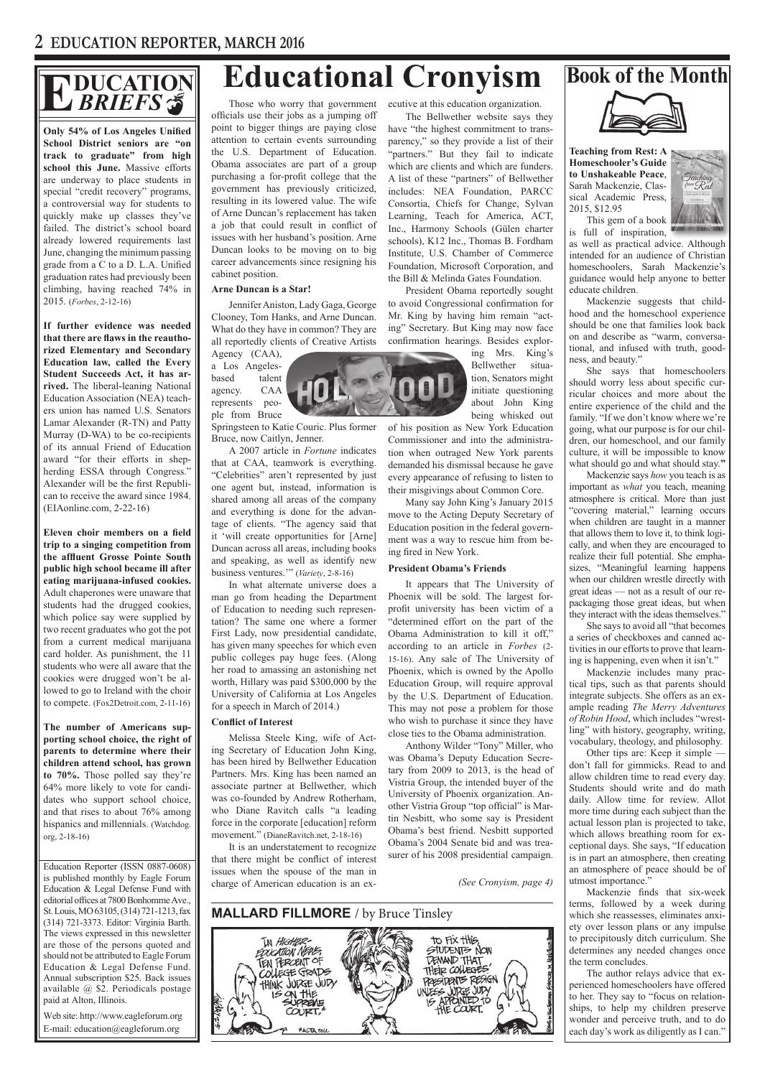## **DUCATION** *BRIEFS*

**Only 54% of Los Angeles Unified School District seniors are "on track to graduate" from high school this June.** Massive efforts are underway to place students in special "credit recovery" programs, a controversial way for students to quickly make up classes they've failed. The district's school board already lowered requirements last June, changing the minimum passing grade from a C to a D. L.A. Unified graduation rates had previously been climbing, having reached 74% in 2015. (*Forbes*, 2-12-16)

**If further evidence was needed that there are flaws in the reauthorized Elementary and Secondary Education law, called the Every Student Succeeds Act, it has arrived.** The liberal-leaning National Education Association (NEA) teachers union has named U.S. Senators Lamar Alexander (R-TN) and Patty Murray (D-WA) to be co-recipients of its annual Friend of Education award "for their efforts in shepherding ESSA through Congress." Alexander will be the first Republican to receive the award since 1984. (EIAonline.com, 2-22-16)

**Eleven choir members on a field trip to a singing competition from the affluent Grosse Pointe South public high school became ill after eating marijuana-infused cookies.**  Adult chaperones were unaware that students had the drugged cookies, which police say were supplied by two recent graduates who got the pot from a current medical marijuana card holder. As punishment, the 11 students who were all aware that the cookies were drugged won't be allowed to go to Ireland with the choir to compete. (Fox2Detroit.com, 2-11-16)

**The number of Americans supporting school choice, the right of parents to determine where their children attend school, has grown to 70%.** Those polled say they're 64% more likely to vote for candidates who support school choice, and that rises to about 76% among hispanics and millennials. (Watchdog. org, 2-18-16)

Education Reporter (ISSN 0887-0608) is published monthly by Eagle Forum Education & Legal Defense Fund with editorial offices at 7800 Bonhomme Ave., St. Louis, MO 63105, (314) 721-1213, fax (314) 721-3373. Editor: Virginia Barth. The views expressed in this newsletter are those of the persons quoted and should not be attributed to Eagle Forum Education & Legal Defense Fund. Annual subscription \$25. Back issues available @ \$2. Periodicals postage paid at Alton, Illinois.

Web site: http://www.eagleforum.org E-mail: education@eagleforum.org

# **Educational Cronyism** Book of the Month<br>
BRIEFS **S** Those who worry that government ecutive at this education organization.

Those who worry that government officials use their jobs as a jumping off point to bigger things are paying close attention to certain events surrounding the U.S. Department of Education. Obama associates are part of a group purchasing a for-profit college that the government has previously criticized, resulting in its lowered value. The wife of Arne Duncan's replacement has taken a job that could result in conflict of issues with her husband's position. Arne Duncan looks to be moving on to big career advancements since resigning his cabinet position.

## **Arne Duncan is a Star!**

Jennifer Aniston, Lady Gaga, George Clooney, Tom Hanks, and Arne Duncan. What do they have in common? They are all reportedly clients of Creative Artists Agency (CAA),

a Los Angelesbased talent agency. CAA represents peo-

ple from Bruce Springsteen to Katie Couric. Plus former Bruce, now Caitlyn, Jenner.

A 2007 article in *Fortune* indicates that at CAA, teamwork is everything. "Celebrities" aren't represented by just one agent but, instead, information is shared among all areas of the company and everything is done for the advantage of clients. "The agency said that it 'will create opportunities for [Arne] Duncan across all areas, including books and speaking, as well as identify new business ventures.'" (*Variety*, 2-8-16)

In what alternate universe does a man go from heading the Department of Education to needing such representation? The same one where a former First Lady, now presidential candidate, has given many speeches for which even public colleges pay huge fees. (Along her road to amassing an astonishing net worth, Hillary was paid \$300,000 by the University of California at Los Angeles for a speech in March of 2014.)

## **Conflict of Interest**

Melissa Steele King, wife of Acting Secretary of Education John King, has been hired by Bellwether Education Partners. Mrs. King has been named an associate partner at Bellwether, which was co-founded by Andrew Rotherham, who Diane Ravitch calls "a leading force in the corporate [education] reform movement." (DianeRavitch.net, 2-18-16)

It is an understatement to recognize that there might be conflict of interest issues when the spouse of the man in charge of American education is an ex-

**HINK JURGE JURY** 

IS ON THE COURT,

ecutive at this education organization.

The Bellwether website says they have "the highest commitment to transparency," so they provide a list of their "partners." But they fail to indicate which are clients and which are funders. A list of these "partners" of Bellwether includes: NEA Foundation, PARCC Consortia, Chiefs for Change, Sylvan Learning, Teach for America, ACT, Inc., Harmony Schools (Gülen charter schools), K12 Inc., Thomas B. Fordham Institute, U.S. Chamber of Commerce Foundation, Microsoft Corporation, and the Bill & Melinda Gates Foundation.

President Obama reportedly sought to avoid Congressional confirmation for Mr. King by having him remain "acting" Secretary. But King may now face confirmation hearings. Besides explor-

> ing Mrs. King's Bellwether situation, Senators might initiate questioning about John King being whisked out

of his position as New York Education Commissioner and into the administration when outraged New York parents demanded his dismissal because he gave every appearance of refusing to listen to their misgivings about Common Core.

Many say John King's January 2015 move to the Acting Deputy Secretary of Education position in the federal government was a way to rescue him from being fired in New York.

## **President Obama's Friends**

It appears that The University of Phoenix will be sold. The largest forprofit university has been victim of a "determined effort on the part of the Obama Administration to kill it off," according to an article in *Forbes* (2- 15-16). Any sale of The University of Phoenix, which is owned by the Apollo Education Group, will require approval by the U.S. Department of Education. This may not pose a problem for those who wish to purchase it since they have close ties to the Obama administration.

Anthony Wilder "Tony" Miller, who was Obama's Deputy Education Secretary from 2009 to 2013, is the head of Vistria Group, the intended buyer of the University of Phoenix organization. Another Vistria Group "top official" is Martin Nesbitt, who some say is President Obama's best friend. Nesbitt supported Obama's 2004 Senate bid and was treasurer of his 2008 presidential campaign.

**PRESIDENTS RESIGN** 

UNESS JURE JUDY<br>15 APPOINTED TO<br>THE COURT.

*(See Cronyism, page 4)*







**Teaching from Rest: A Homeschooler's Guide to Unshakeable Peace**, Sarah Mackenzie, Classical Academic Press, 2015, \$12.95 This gem of a book



is full of inspiration, as well as practical advice. Although intended for an audience of Christian homeschoolers, Sarah Mackenzie's guidance would help anyone to better educate children.

Mackenzie suggests that childhood and the homeschool experience should be one that families look back on and describe as "warm, conversational, and infused with truth, goodness, and beauty."

She says that homeschoolers should worry less about specific curricular choices and more about the entire experience of the child and the family. "If we don't know where we're going, what our purpose is for our children, our homeschool, and our family culture, it will be impossible to know what should go and what should stay.**"**

Mackenzie says *how* you teach is as important as *what* you teach, meaning atmosphere is critical. More than just "covering material," learning occurs when children are taught in a manner that allows them to love it, to think logically, and when they are encouraged to realize their full potential. She emphasizes, "Meaningful learning happens when our children wrestle directly with great ideas — not as a result of our repackaging those great ideas, but when they interact with the ideas themselves."

She says to avoid all "that becomes a series of checkboxes and canned activities in our efforts to prove that learning is happening, even when it isn't."

Mackenzie includes many practical tips, such as that parents should integrate subjects. She offers as an example reading *The Merry Adventures of Robin Hood*, which includes "wrestling" with history, geography, writing, vocabulary, theology, and philosophy.

Other tips are: Keep it simple don't fall for gimmicks. Read to and allow children time to read every day. Students should write and do math daily. Allow time for review. Allot more time during each subject than the actual lesson plan is projected to take, which allows breathing room for exceptional days. She says, "If education is in part an atmosphere, then creating an atmosphere of peace should be of utmost importance."

Mackenzie finds that six-week terms, followed by a week during which she reassesses, eliminates anxiety over lesson plans or any impulse to precipitously ditch curriculum. She determines any needed changes once the term concludes.

The author relays advice that experienced homeschoolers have offered to her. They say to "focus on relationships, to help my children preserve wonder and perceive truth, and to do each day's work as diligently as I can."

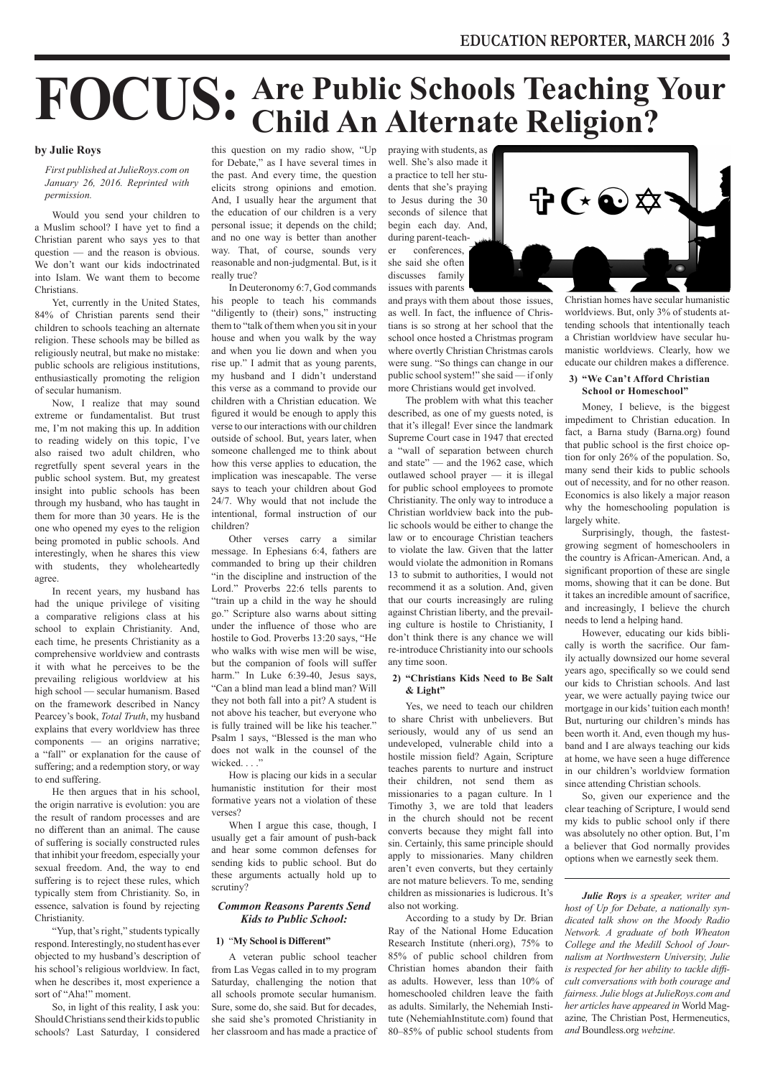# **FOCUS: Are Public Schools Teaching Your Child An Alternate Religion?**

## **by Julie Roys**

*First published at JulieRoys.com on January 26, 2016. Reprinted with permission.*

Would you send your children to a Muslim school? I have yet to find a Christian parent who says yes to that question — and the reason is obvious. We don't want our kids indoctrinated into Islam. We want them to become Christians.

Yet, currently in the United States, 84% of Christian parents send their children to schools teaching an alternate religion. These schools may be billed as religiously neutral, but make no mistake: public schools are religious institutions, enthusiastically promoting the religion of secular humanism.

Now, I realize that may sound extreme or fundamentalist. But trust me, I'm not making this up. In addition to reading widely on this topic, I've also raised two adult children, who regretfully spent several years in the public school system. But, my greatest insight into public schools has been through my husband, who has taught in them for more than 30 years. He is the one who opened my eyes to the religion being promoted in public schools. And interestingly, when he shares this view with students, they wholeheartedly agree.

In recent years, my husband has had the unique privilege of visiting a comparative religions class at his school to explain Christianity. And, each time, he presents Christianity as a comprehensive worldview and contrasts it with what he perceives to be the prevailing religious worldview at his high school — secular humanism. Based on the framework described in Nancy Pearcey's book, *Total Truth*, my husband explains that every worldview has three components — an origins narrative; a "fall" or explanation for the cause of suffering; and a redemption story, or way to end suffering.

He then argues that in his school, the origin narrative is evolution: you are the result of random processes and are no different than an animal. The cause of suffering is socially constructed rules that inhibit your freedom, especially your sexual freedom. And, the way to end suffering is to reject these rules, which typically stem from Christianity. So, in essence, salvation is found by rejecting Christianity.

"Yup, that's right," students typically respond. Interestingly, no student has ever objected to my husband's description of his school's religious worldview. In fact, when he describes it, most experience a sort of "Aha!" moment.

So, in light of this reality, I ask you: Should Christians send their kids to public schools? Last Saturday, I considered

this question on my radio show, "Up for Debate," as I have several times in the past. And every time, the question elicits strong opinions and emotion. And, I usually hear the argument that the education of our children is a very personal issue; it depends on the child; and no one way is better than another way. That, of course, sounds very reasonable and non-judgmental. But, is it really true?

In Deuteronomy 6:7, God commands his people to teach his commands "diligently to (their) sons," instructing them to "talk of them when you sit in your house and when you walk by the way and when you lie down and when you rise up." I admit that as young parents, my husband and I didn't understand this verse as a command to provide our children with a Christian education. We figured it would be enough to apply this verse to our interactions with our children outside of school. But, years later, when someone challenged me to think about how this verse applies to education, the implication was inescapable. The verse says to teach your children about God 24/7. Why would that not include the intentional, formal instruction of our children?

Other verses carry a similar message. In Ephesians 6:4, fathers are commanded to bring up their children "in the discipline and instruction of the Lord." Proverbs 22:6 tells parents to "train up a child in the way he should go." Scripture also warns about sitting under the influence of those who are hostile to God. Proverbs 13:20 says, "He who walks with wise men will be wise, but the companion of fools will suffer harm." In Luke 6:39-40, Jesus says, "Can a blind man lead a blind man? Will they not both fall into a pit? A student is not above his teacher, but everyone who is fully trained will be like his teacher." Psalm 1 says, "Blessed is the man who does not walk in the counsel of the wicked. . . ."

How is placing our kids in a secular humanistic institution for their most formative years not a violation of these verses?

When I argue this case, though, I usually get a fair amount of push-back and hear some common defenses for sending kids to public school. But do these arguments actually hold up to scrutiny?

## *Common Reasons Parents Send Kids to Public School:*

## **1)** "**My School is Different"**

A veteran public school teacher from Las Vegas called in to my program Saturday, challenging the notion that all schools promote secular humanism. Sure, some do, she said. But for decades, she said she's promoted Christianity in her classroom and has made a practice of praying with students, as well. She's also made it a practice to tell her students that she's praying to Jesus during the 30 seconds of silence that begin each day. And, during parent-teacher conferences,

she said she often discusses family issues with parents

and prays with them about those issues, as well. In fact, the influence of Christians is so strong at her school that the school once hosted a Christmas program where overtly Christian Christmas carols were sung. "So things can change in our public school system!" she said — if only more Christians would get involved.

The problem with what this teacher described, as one of my guests noted, is that it's illegal! Ever since the landmark Supreme Court case in 1947 that erected a "wall of separation between church and state" — and the 1962 case, which outlawed school prayer — it is illegal for public school employees to promote Christianity. The only way to introduce a Christian worldview back into the public schools would be either to change the law or to encourage Christian teachers to violate the law. Given that the latter would violate the admonition in Romans 13 to submit to authorities, I would not recommend it as a solution. And, given that our courts increasingly are ruling against Christian liberty, and the prevailing culture is hostile to Christianity, I don't think there is any chance we will re-introduce Christianity into our schools any time soon.

## **2) "Christians Kids Need to Be Salt & Light"**

Yes, we need to teach our children to share Christ with unbelievers. But seriously, would any of us send an undeveloped, vulnerable child into a hostile mission field? Again, Scripture teaches parents to nurture and instruct their children, not send them as missionaries to a pagan culture. In 1 Timothy 3, we are told that leaders in the church should not be recent converts because they might fall into sin. Certainly, this same principle should apply to missionaries. Many children aren't even converts, but they certainly are not mature believers. To me, sending children as missionaries is ludicrous. It's also not working.

According to a study by Dr. Brian Ray of the National Home Education Research Institute (nheri.org), 75% to 85% of public school children from Christian homes abandon their faith as adults. However, less than 10% of homeschooled children leave the faith as adults. Similarly, the Nehemiah Institute (NehemiahInstitute.com) found that 80–85% of public school students from



Christian homes have secular humanistic worldviews. But, only 3% of students attending schools that intentionally teach a Christian worldview have secular humanistic worldviews. Clearly, how we educate our children makes a difference.

## **3) "We Can't Afford Christian School or Homeschool"**

Money, I believe, is the biggest impediment to Christian education. In fact, a Barna study (Barna.org) found that public school is the first choice option for only 26% of the population. So, many send their kids to public schools out of necessity, and for no other reason. Economics is also likely a major reason why the homeschooling population is largely white.

Surprisingly, though, the fastestgrowing segment of homeschoolers in the country is African-American. And, a significant proportion of these are single moms, showing that it can be done. But it takes an incredible amount of sacrifice, and increasingly, I believe the church needs to lend a helping hand.

However, educating our kids biblically is worth the sacrifice. Our family actually downsized our home several years ago, specifically so we could send our kids to Christian schools. And last year, we were actually paying twice our mortgage in our kids' tuition each month! But, nurturing our children's minds has been worth it. And, even though my husband and I are always teaching our kids at home, we have seen a huge difference in our children's worldview formation since attending Christian schools.

So, given our experience and the clear teaching of Scripture, I would send my kids to public school only if there was absolutely no other option. But, I'm a believer that God normally provides options when we earnestly seek them.

*Julie Roys is a speaker, writer and host of Up for Debate, a nationally syndicated talk show on the Moody Radio Network. A graduate of both Wheaton College and the Medill School of Journalism at Northwestern University, Julie is respected for her ability to tackle difficult conversations with both courage and fairness. Julie blogs at JulieRoys.com and her articles have appeared in* World Magazine*,* The Christian Post, Hermeneutics, *and* Boundless.org *webzine.*